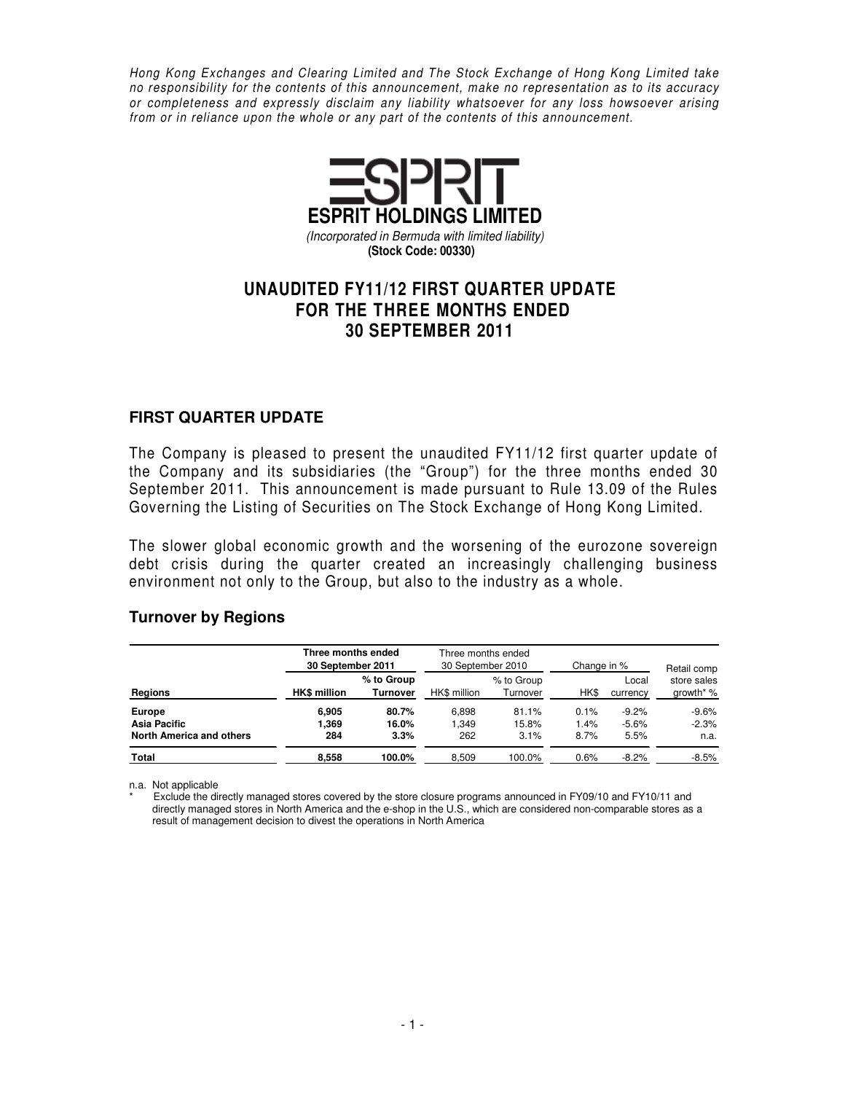Hong Kong Exchanges and Clearing Limited and The Stock Exchange of Hong Kong Limited take no responsibility for the contents of this announcement, make no representation as to its accuracy or completeness and expressly disclaim any liability whatsoever for any loss howsoever arising from or in reliance upon the whole or any part of the contents of this announcement.



# **UNAUDITED FY11/12 FIRST QUARTER UPDATE FOR THE THREE MONTHS ENDED 30 SEPTEMBER 2011**

#### **FIRST QUARTER UPDATE**

The Company is pleased to present the unaudited FY11/12 first quarter update of the Company and its subsidiaries (the "Group") for the three months ended 30 September 2011. This announcement is made pursuant to Rule 13.09 of the Rules Governing the Listing of Securities on The Stock Exchange of Hong Kong Limited.

The slower global economic growth and the worsening of the eurozone sovereign debt crisis during the quarter created an increasingly challenging business environment not only to the Group, but also to the industry as a whole.

#### **Turnover by Regions**

|                                                           | Three months ended<br>30 September 2011 |                               | Three months ended<br>30 September 2010 |                        | Change in %          | Retail comp                |                            |
|-----------------------------------------------------------|-----------------------------------------|-------------------------------|-----------------------------------------|------------------------|----------------------|----------------------------|----------------------------|
| Regions                                                   | <b>HK\$</b> million                     | % to Group<br><b>Turnover</b> | HK\$ million                            | % to Group<br>Turnover | HK\$                 | Local<br>currency          | store sales<br>growth* %   |
| <b>Europe</b><br>Asia Pacific<br>North America and others | 6.905<br>369. ا<br>284                  | 80.7%<br>16.0%<br>3.3%        | 6.898<br>1.349<br>262                   | 81.1%<br>15.8%<br>3.1% | 0.1%<br>1.4%<br>8.7% | $-9.2%$<br>$-5.6%$<br>5.5% | $-9.6%$<br>$-2.3%$<br>n.a. |
| Total                                                     | 8,558                                   | 100.0%                        | 8,509                                   | 100.0%                 | 0.6%                 | $-8.2%$                    | $-8.5%$                    |

n.a. Not applicable

Exclude the directly managed stores covered by the store closure programs announced in FY09/10 and FY10/11 and directly managed stores in North America and the e-shop in the U.S., which are considered non-comparable stores as a result of management decision to divest the operations in North America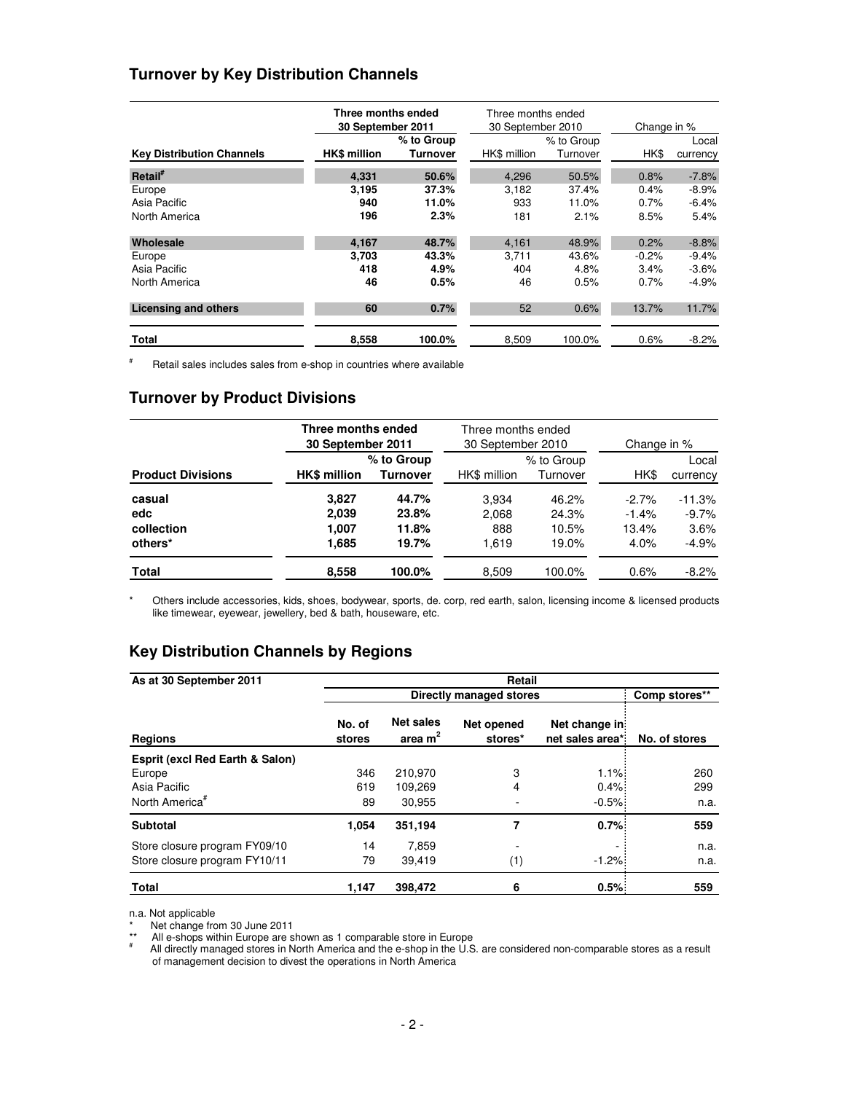### **Turnover by Key Distribution Channels**

|                                  | Three months ended<br>30 September 2011 |                        | Three months ended<br>30 September 2010 |                        | Change in % |                   |  |
|----------------------------------|-----------------------------------------|------------------------|-----------------------------------------|------------------------|-------------|-------------------|--|
| <b>Key Distribution Channels</b> | <b>HK\$ million</b>                     | % to Group<br>Turnover | HK\$ million                            | % to Group<br>Turnover | HK\$        | Local<br>currency |  |
|                                  |                                         |                        |                                         |                        |             |                   |  |
| Retail <sup>#</sup>              | 4,331                                   | 50.6%                  | 4,296                                   | 50.5%                  | 0.8%        | $-7.8%$           |  |
| Europe                           | 3,195                                   | 37.3%                  | 3,182                                   | 37.4%                  | 0.4%        | $-8.9%$           |  |
| Asia Pacific                     | 940                                     | 11.0%                  | 933                                     | 11.0%                  | 0.7%        | $-6.4%$           |  |
| North America                    | 196                                     | 2.3%                   | 181                                     | 2.1%                   | 8.5%        | 5.4%              |  |
| Wholesale                        | 4,167                                   | 48.7%                  | 4,161                                   | 48.9%                  | 0.2%        | $-8.8%$           |  |
| Europe                           | 3,703                                   | 43.3%                  | 3,711                                   | 43.6%                  | $-0.2%$     | $-9.4%$           |  |
| Asia Pacific                     | 418                                     | 4.9%                   | 404                                     | 4.8%                   | 3.4%        | $-3.6%$           |  |
| North America                    | 46                                      | 0.5%                   | 46                                      | 0.5%                   | 0.7%        | $-4.9%$           |  |
| <b>Licensing and others</b>      | 60                                      | 0.7%                   | 52                                      | 0.6%                   | 13.7%       | 11.7%             |  |
| Total                            | 8,558                                   | 100.0%                 | 8,509                                   | 100.0%                 | 0.6%        | $-8.2%$           |  |

# Retail sales includes sales from e-shop in countries where available

### **Turnover by Product Divisions**

|                          | Three months ended<br>30 September 2011 |                 | Three months ended<br>30 September 2010 |            | Change in % |          |  |
|--------------------------|-----------------------------------------|-----------------|-----------------------------------------|------------|-------------|----------|--|
|                          |                                         | % to Group      |                                         | % to Group |             | Local    |  |
| <b>Product Divisions</b> | <b>HK\$</b> million                     | <b>Turnover</b> | HK\$ million                            | Turnover   | HK\$        | currency |  |
| casual                   | 3.827                                   | 44.7%           | 3.934                                   | 46.2%      | $-2.7\%$    | $-11.3%$ |  |
| edc                      | 2,039                                   | 23.8%           | 2.068                                   | 24.3%      | $-1.4%$     | $-9.7%$  |  |
| collection               | 1.007                                   | 11.8%           | 888                                     | 10.5%      | 13.4%       | 3.6%     |  |
| others*                  | 1,685                                   | 19.7%           | 1.619                                   | 19.0%      | 4.0%        | $-4.9%$  |  |
| Total                    | 8,558                                   | 100.0%          | 8,509                                   | 100.0%     | 0.6%        | $-8.2%$  |  |

\* Others include accessories, kids, shoes, bodywear, sports, de. corp, red earth, salon, licensing income & licensed products like timewear, eyewear, jewellery, bed & bath, houseware, etc.

### **Key Distribution Channels by Regions**

| As at 30 September 2011                    | Retail           |                               |                         |                                   |               |  |  |  |  |  |  |
|--------------------------------------------|------------------|-------------------------------|-------------------------|-----------------------------------|---------------|--|--|--|--|--|--|
|                                            |                  |                               | Directly managed stores |                                   | Comp stores** |  |  |  |  |  |  |
| <b>Regions</b>                             | No. of<br>stores | <b>Net sales</b><br>area $m2$ | Net opened<br>stores*   | Net change in:<br>net sales area* | No. of stores |  |  |  |  |  |  |
| <b>Esprit (excl Red Earth &amp; Salon)</b> |                  |                               |                         |                                   |               |  |  |  |  |  |  |
| Europe                                     | 346<br>619       | 210,970<br>109,269            | 3                       | 1.1%                              | 260           |  |  |  |  |  |  |
| Asia Pacific                               |                  |                               | 4                       | 0.4%                              | 299           |  |  |  |  |  |  |
| North America <sup>#</sup>                 | 89               | 30.955                        |                         | $-0.5%$                           | n.a.          |  |  |  |  |  |  |
| <b>Subtotal</b>                            | 1,054            | 351,194                       | 7                       | 0.7%                              | 559           |  |  |  |  |  |  |
| Store closure program FY09/10              | 14               | 7,859                         |                         |                                   | n.a.          |  |  |  |  |  |  |
| Store closure program FY10/11              | 79               | 39.419                        | (1)                     | $-1.2%$                           | n.a.          |  |  |  |  |  |  |
| <b>Total</b>                               | 1,147            | 398,472                       | 6                       | 0.5%                              | 559           |  |  |  |  |  |  |

n.a. Not applicable

\* Net change from 30 June 2011

\*\* All e-shops within Europe are shown as 1 comparable store in Europe

# All directly managed stores in North America and the e-shop in the U.S. are considered non-comparable stores as a result of management decision to divest the operations in North America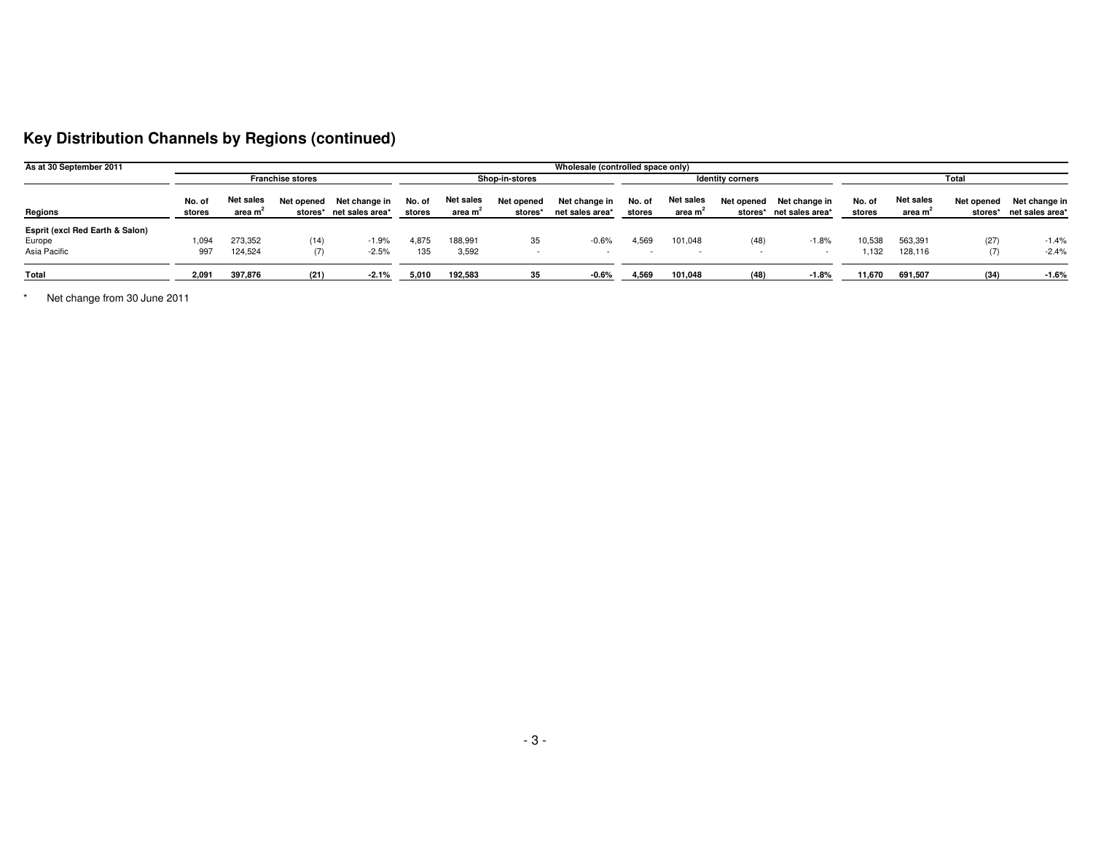## **Key Distribution Channels by Regions (continued)**

| As at 30 September 2011                                   | Wholesale (controlled space only) |                                  |            |                                          |                  |                                  |                         |                                  |                  |                                  |      |                                                     |                  |                                         |                       |                                  |
|-----------------------------------------------------------|-----------------------------------|----------------------------------|------------|------------------------------------------|------------------|----------------------------------|-------------------------|----------------------------------|------------------|----------------------------------|------|-----------------------------------------------------|------------------|-----------------------------------------|-----------------------|----------------------------------|
|                                                           | <b>Franchise stores</b>           |                                  |            | <b>Shop-in-stores</b>                    |                  |                                  | <b>Identity corners</b> |                                  |                  | Total                            |      |                                                     |                  |                                         |                       |                                  |
| Regions                                                   | No. of<br>stores                  | Net sales<br>area m <sup>e</sup> | Net opened | Net change in<br>stores* net sales area* | No. of<br>stores | Net sales<br>area m <sup>e</sup> | Net opened<br>stores*   | Net change in<br>net sales area* | No. of<br>stores | Net sales<br>area m <sup>2</sup> |      | Net opened Net change in<br>stores* net sales area* | No. of<br>stores | <b>Net sales</b><br>area m <sup>2</sup> | Net opened<br>stores* | Net change in<br>net sales area* |
| Esprit (excl Red Earth & Salon)<br>Europe<br>Asia Pacific | 1.094<br>997                      | 273,352<br>124,524               | (14)       | $-1.9%$<br>$-2.5%$                       | 4,875<br>135     | 188,991<br>3,592                 | 35                      | $-0.6%$                          | 4,569            | 101.048<br>$\sim$                | (48) | $-1.8%$                                             | 10,538<br>1,132  | 563,391<br>128.116                      | (27)<br>(7)           | $-1.4%$<br>$-2.4%$               |
| Total                                                     | 2.091                             | 397,876                          | (21)       | $-2.1\%$                                 | 5,010            | 192,583                          | -35                     | $-0.6%$                          | 4,569            | 101,048                          | (48) | $-1.8%$                                             | 11,670           | 691,507                                 | (34)                  | $-1.6%$                          |

\* Net change from 30 June 2011